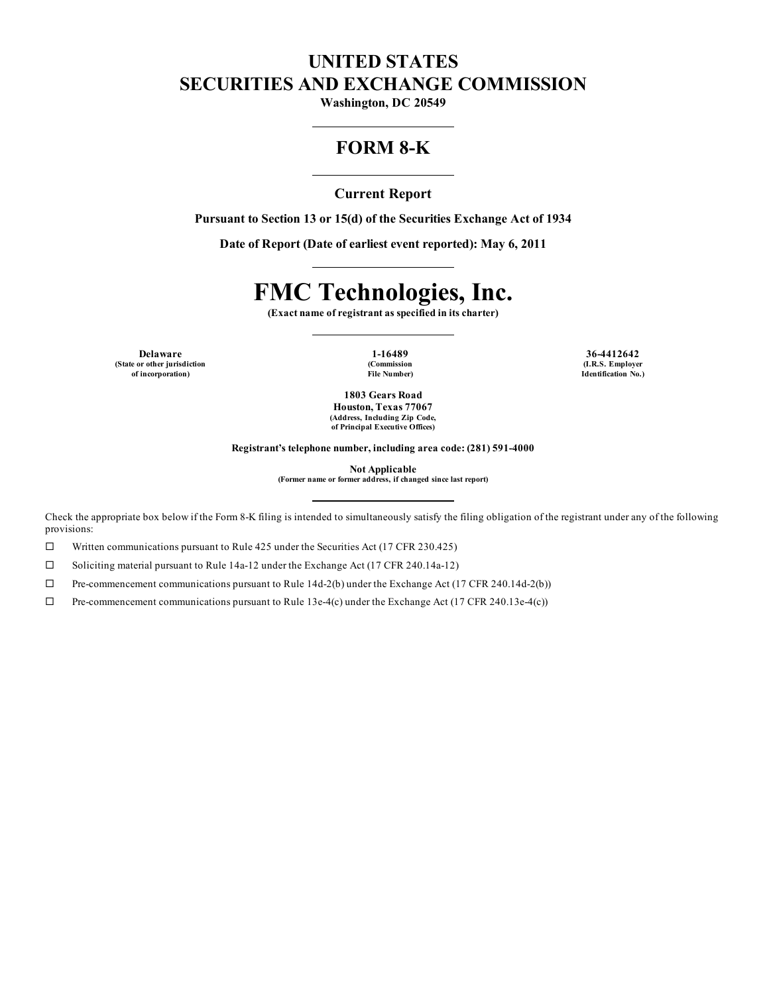# **UNITED STATES SECURITIES AND EXCHANGE COMMISSION**

**Washington, DC 20549**

## **FORM 8-K**

## **Current Report**

**Pursuant to Section 13 or 15(d) of the Securities Exchange Act of 1934**

**Date of Report (Date of earliest event reported): May 6, 2011**

# **FMC Technologies, Inc.**

**(Exact name of registrant as specified in its charter)**

**Delaware 1-16489 36-4412642 (State or other jurisdiction of incorporation)**

**(Commission File Number)**

**(I.R.S. Employer Identification No.)**

**1803 Gears Road Houston, Texas 77067 (Address, Including Zip Code, of Principal Executive Offices)**

**Registrant's telephone number, including area code: (281) 591-4000**

**Not Applicable (Former name or former address, if changed since last report)**

Check the appropriate box below if the Form 8-K filing is intended to simultaneously satisfy the filing obligation of the registrant under any of the following provisions:

 $\Box$  Written communications pursuant to Rule 425 under the Securities Act (17 CFR 230.425)

 $\square$  Soliciting material pursuant to Rule 14a-12 under the Exchange Act (17 CFR 240.14a-12)

 $\Box$  Pre-commencement communications pursuant to Rule 14d-2(b) under the Exchange Act (17 CFR 240.14d-2(b))

 $\Box$  Pre-commencement communications pursuant to Rule 13e-4(c) under the Exchange Act (17 CFR 240.13e-4(c))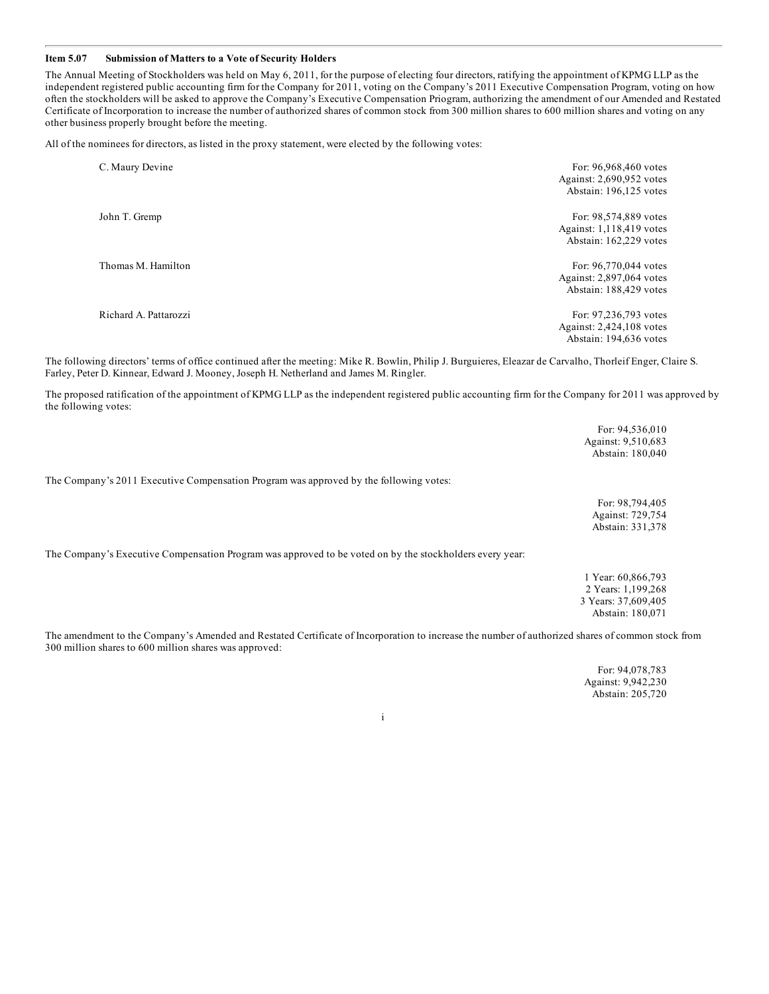#### **Item 5.07 Submission of Matters to a Vote of Security Holders**

The Annual Meeting of Stockholders was held on May 6, 2011, for the purpose of electing four directors, ratifying the appointment of KPMG LLP as the independent registered public accounting firm for the Company for 2011, voting on the Company's 2011 Executive Compensation Program, voting on how often the stockholders will be asked to approve the Company's Executive Compensation Priogram, authorizing the amendment of our Amended and Restated Certificate of Incorporation to increase the number of authorized shares of common stock from 300 million shares to 600 million shares and voting on any other business properly brought before the meeting.

All of the nominees for directors, as listed in the proxy statement, were elected by the following votes:

| C. Maury Devine       | For: 96,968,460 votes<br>Against: 2,690,952 votes<br>Abstain: 196,125 votes |
|-----------------------|-----------------------------------------------------------------------------|
| John T. Gremp         | For: 98,574,889 votes<br>Against: 1,118,419 votes<br>Abstain: 162,229 votes |
| Thomas M. Hamilton    | For: 96,770,044 votes<br>Against: 2,897,064 votes<br>Abstain: 188,429 votes |
| Richard A. Pattarozzi | For: 97,236,793 votes<br>Against: 2,424,108 votes<br>Abstain: 194,636 votes |

The following directors' terms of office continued after the meeting: Mike R. Bowlin, Philip J. Burguieres, Eleazar de Carvalho, Thorleif Enger, Claire S. Farley, Peter D. Kinnear, Edward J. Mooney, Joseph H. Netherland and James M. Ringler.

The proposed ratification of the appointment of KPMG LLP as the independent registered public accounting firm for the Company for 2011 was approved by the following votes:

|                                                                                                          | <b>POL. 94,330,010</b><br>Against: 9,510,683<br>Abstain: 180,040                    |
|----------------------------------------------------------------------------------------------------------|-------------------------------------------------------------------------------------|
| The Company's 2011 Executive Compensation Program was approved by the following votes:                   |                                                                                     |
|                                                                                                          | For: 98,794,405<br>Against: 729,754<br>Abstain: 331,378                             |
| The Company's Executive Compensation Program was approved to be voted on by the stockholders every year: |                                                                                     |
|                                                                                                          | 1 Year: 60,866,793<br>2 Years: 1,199,268<br>3 Years: 37,609,405<br>Abstain: 180,071 |

The amendment to the Company's Amended and Restated Certificate of Incorporation to increase the number of authorized shares of common stock from 300 million shares to 600 million shares was approved:

> For: 94,078,783 Against: 9,942,230 Abstain: 205,720

For: 94,536,010

i